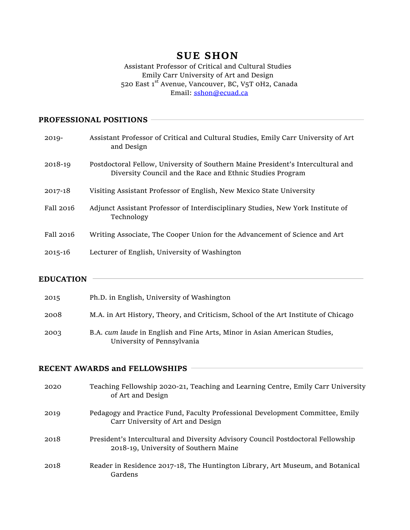# **SUE SHON**

#### Assistant Professor of Critical and Cultural Studies Emily Carr University of Art and Design 520 East 1st Avenue, Vancouver, BC, V5T 0H2, Canada Email: sshon@ecuad.ca

## **PROFESSIONAL POSITIONS**

| 2019-       | Assistant Professor of Critical and Cultural Studies, Emily Carr University of Art<br>and Design                                             |
|-------------|----------------------------------------------------------------------------------------------------------------------------------------------|
| 2018-19     | Postdoctoral Fellow, University of Southern Maine President's Intercultural and<br>Diversity Council and the Race and Ethnic Studies Program |
| 2017-18     | Visiting Assistant Professor of English, New Mexico State University                                                                         |
| Fall 2016   | Adjunct Assistant Professor of Interdisciplinary Studies, New York Institute of<br>Technology                                                |
| Fall 2016   | Writing Associate, The Cooper Union for the Advancement of Science and Art                                                                   |
| $2015 - 16$ | Lecturer of English, University of Washington                                                                                                |
|             |                                                                                                                                              |

### **EDUCATION**

| 2015 | Ph.D. in English, University of Washington                                                              |
|------|---------------------------------------------------------------------------------------------------------|
| 2008 | M.A. in Art History, Theory, and Criticism, School of the Art Institute of Chicago                      |
| 2003 | B.A. cum laude in English and Fine Arts, Minor in Asian American Studies,<br>University of Pennsylvania |

#### **RECENT AWARDS and FELLOWSHIPS**

| 2020 | Teaching Fellowship 2020-21, Teaching and Learning Centre, Emily Carr University<br>of Art and Design                     |
|------|---------------------------------------------------------------------------------------------------------------------------|
| 2019 | Pedagogy and Practice Fund, Faculty Professional Development Committee, Emily<br>Carr University of Art and Design        |
| 2018 | President's Intercultural and Diversity Advisory Council Postdoctoral Fellowship<br>2018-19, University of Southern Maine |
| 2018 | Reader in Residence 2017-18, The Huntington Library, Art Museum, and Botanical<br>Gardens                                 |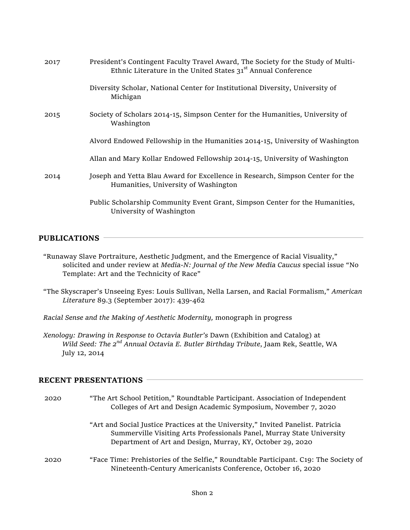| 2017 | President's Contingent Faculty Travel Award, The Society for the Study of Multi-<br>Ethnic Literature in the United States 31 <sup>st</sup> Annual Conference |
|------|---------------------------------------------------------------------------------------------------------------------------------------------------------------|
|      | Diversity Scholar, National Center for Institutional Diversity, University of<br>Michigan                                                                     |
| 2015 | Society of Scholars 2014-15, Simpson Center for the Humanities, University of<br>Washington                                                                   |
|      | Alvord Endowed Fellowship in the Humanities 2014-15, University of Washington                                                                                 |
|      | Allan and Mary Kollar Endowed Fellowship 2014-15, University of Washington                                                                                    |
| 2014 | Joseph and Yetta Blau Award for Excellence in Research, Simpson Center for the<br>Humanities, University of Washington                                        |
|      | Public Scholarship Community Event Grant, Simpson Center for the Humanities,<br>University of Washington                                                      |

#### **PUBLICATIONS**

- "Runaway Slave Portraiture, Aesthetic Judgment, and the Emergence of Racial Visuality," solicited and under review at *Media-N: Journal of the New Media Caucus* special issue "No Template: Art and the Technicity of Race"
- "The Skyscraper's Unseeing Eyes: Louis Sullivan, Nella Larsen, and Racial Formalism," *American Literature* 89.3 (September 2017): 439-462
- *Racial Sense and the Making of Aesthetic Modernity,* monograph in progress
- *Xenology: Drawing in Response to Octavia Butler's* Dawn (Exhibition and Catalog) at *Wild Seed: The 2nd Annual Octavia E. Butler Birthday Tribute*, Jaam Rek, Seattle, WA July 12, 2014

#### **RECENT PRESENTATIONS**

| 2020 | "The Art School Petition," Roundtable Participant. Association of Independent<br>Colleges of Art and Design Academic Symposium, November 7, 2020                                                                         |
|------|--------------------------------------------------------------------------------------------------------------------------------------------------------------------------------------------------------------------------|
|      | "Art and Social Justice Practices at the University," Invited Panelist. Patricia<br>Summerville Visiting Arts Professionals Panel, Murray State University<br>Department of Art and Design, Murray, KY, October 29, 2020 |
| 2020 | "Face Time: Prehistories of the Selfie," Roundtable Participant. C19: The Society of<br>Nineteenth-Century Americanists Conference, October 16, 2020                                                                     |